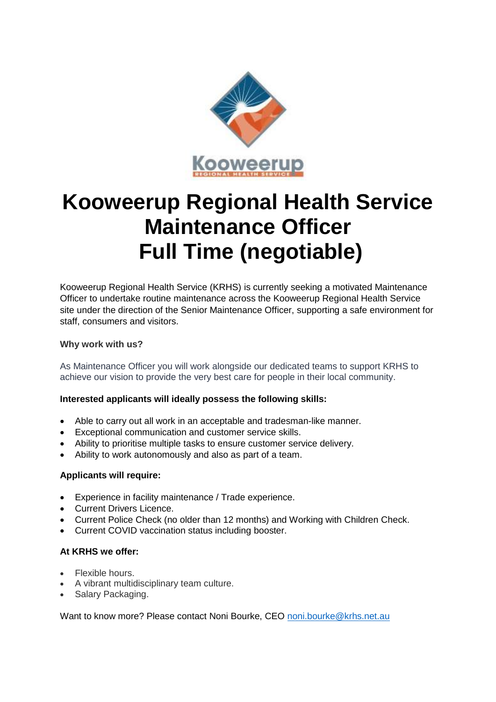

# **Kooweerup Regional Health Service Maintenance Officer Full Time (negotiable)**

Kooweerup Regional Health Service (KRHS) is currently seeking a motivated Maintenance Officer to undertake routine maintenance across the Kooweerup Regional Health Service site under the direction of the Senior Maintenance Officer, supporting a safe environment for staff, consumers and visitors.

### **Why work with us?**

As Maintenance Officer you will work alongside our dedicated teams to support KRHS to achieve our vision to provide the very best care for people in their local community.

### **Interested applicants will ideally possess the following skills:**

- Able to carry out all work in an acceptable and tradesman-like manner.
- Exceptional communication and customer service skills.
- Ability to prioritise multiple tasks to ensure customer service delivery.
- Ability to work autonomously and also as part of a team.

### **Applicants will require:**

- Experience in facility maintenance / Trade experience.
- **Current Drivers Licence**
- Current Police Check (no older than 12 months) and Working with Children Check.
- Current COVID vaccination status including booster.

## **At KRHS we offer:**

- Flexible hours.
- A vibrant multidisciplinary team culture.
- Salary Packaging.

Want to know more? Please contact Noni Bourke, CEO [noni.bourke@krhs.net.au](mailto:noni.bourke@krhs.net.au)